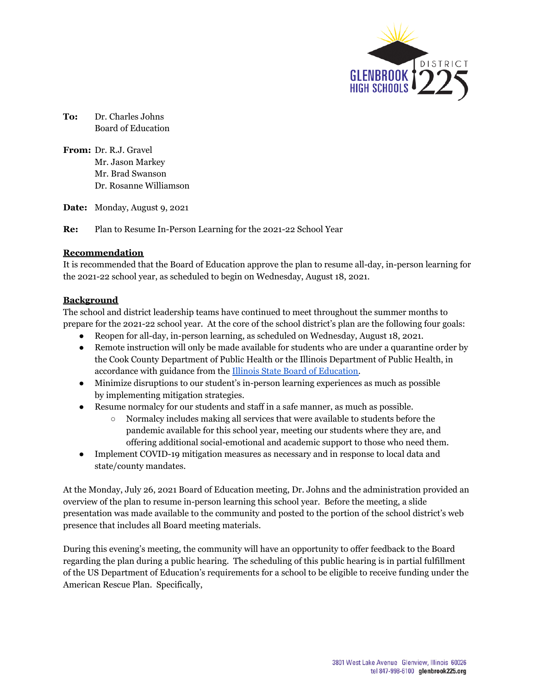

**To:** Dr. Charles Johns Board of Education

**From:** Dr. R.J. Gravel Mr. Jason Markey Mr. Brad Swanson Dr. Rosanne Williamson

**Date:** Monday, August 9, 2021

**Re:** Plan to Resume In-Person Learning for the 2021-22 School Year

#### **Recommendation**

It is recommended that the Board of Education approve the plan to resume all-day, in-person learning for the 2021-22 school year, as scheduled to begin on Wednesday, August 18, 2021.

#### **Background**

The school and district leadership teams have continued to meet throughout the summer months to prepare for the 2021-22 school year. At the core of the school district's plan are the following four goals:

- Reopen for all-day, in-person learning, as scheduled on Wednesday, August 18, 2021.
- Remote instruction will only be made available for students who are under a quarantine order by the Cook County Department of Public Health or the Illinois Department of Public Health, in accordance with guidance from the Illinois State Board of [Education.](https://go.boarddocs.com/il/isbe/Board.nsf/files/C35QYL6B6317/$file/03.A%20In%20Person%20Learning%20Resolution%205-18-2021.pdf)
- Minimize disruptions to our student's in-person learning experiences as much as possible by implementing mitigation strategies.
- Resume normalcy for our students and staff in a safe manner, as much as possible.
	- Normalcy includes making all services that were available to students before the pandemic available for this school year, meeting our students where they are, and offering additional social-emotional and academic support to those who need them.
- Implement COVID-19 mitigation measures as necessary and in response to local data and state/county mandates.

At the Monday, July 26, 2021 Board of Education meeting, Dr. Johns and the administration provided an overview of the plan to resume in-person learning this school year. Before the meeting, a slide presentation was made available to the community and posted to the portion of the school district's web presence that includes all Board meeting materials.

During this evening's meeting, the community will have an opportunity to offer feedback to the Board regarding the plan during a public hearing. The scheduling of this public hearing is in partial fulfillment of the US Department of Education's requirements for a school to be eligible to receive funding under the American Rescue Plan. Specifically,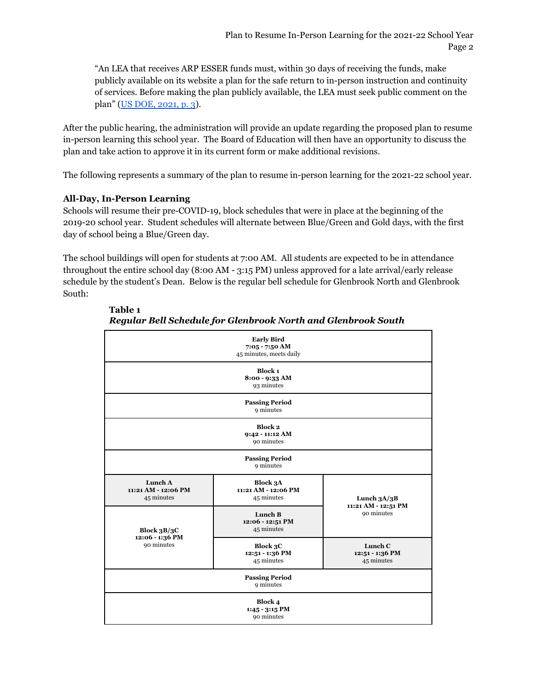"An LEA that receives ARP ESSER funds must, within 30 days of receiving the funds, make publicly available on its website a plan for the safe return to in-person instruction and continuity of services. Before making the plan publicly available, the LEA must seek public comment on the plan" (US DOE, [2021,](https://oese.ed.gov/files/2021/03/FINAL_ARP-ESSER-FACT-SHEET.pdf) p. 3).

After the public hearing, the administration will provide an update regarding the proposed plan to resume in-person learning this school year. The Board of Education will then have an opportunity to discuss the plan and take action to approve it in its current form or make additional revisions.

The following represents a summary of the plan to resume in-person learning for the 2021-22 school year.

## **All-Day, In-Person Learning**

Schools will resume their pre-COVID-19, block schedules that were in place at the beginning of the 2019-20 school year. Student schedules will alternate between Blue/Green and Gold days, with the first day of school being a Blue/Green day.

The school buildings will open for students at 7:00 AM. All students are expected to be in attendance throughout the entire school day (8:00 AM - 3:15 PM) unless approved for a late arrival/early release schedule by the student's Dean. Below is the regular bell schedule for Glenbrook North and Glenbrook South:

| <b>Early Bird</b><br>7:05 - 7:50 AM<br>45 minutes, meets daily |                                                      |                                                    |
|----------------------------------------------------------------|------------------------------------------------------|----------------------------------------------------|
| <b>Block 1</b><br>8:00 - 9:33 AM<br>93 minutes                 |                                                      |                                                    |
| <b>Passing Period</b><br>9 minutes                             |                                                      |                                                    |
| Block 2<br>9:42 - 11:12 AM<br>90 minutes                       |                                                      |                                                    |
| <b>Passing Period</b><br>9 minutes                             |                                                      |                                                    |
| Lunch A<br>11:21 AM - 12:06 PM<br>45 minutes                   | <b>Block 3A</b><br>11:21 AM - 12:06 PM<br>45 minutes | Lunch $3A/3B$<br>11:21 AM - 12:51 PM<br>90 minutes |
| Block $3B/3C$<br>12:06 - 1:36 PM<br>90 minutes                 | Lunch B<br>12:06 - 12:51 PM<br>45 minutes            |                                                    |
|                                                                | Block 3C<br>12:51 - 1:36 PM<br>45 minutes            | Lunch C<br>12:51 - 1:36 PM<br>45 minutes           |
| <b>Passing Period</b><br>9 minutes                             |                                                      |                                                    |
| Block 4<br>$1:45 - 3:15$ PM<br>90 minutes                      |                                                      |                                                    |

**Table 1** *Regular Bell Schedule for Glenbrook North and Glenbrook South*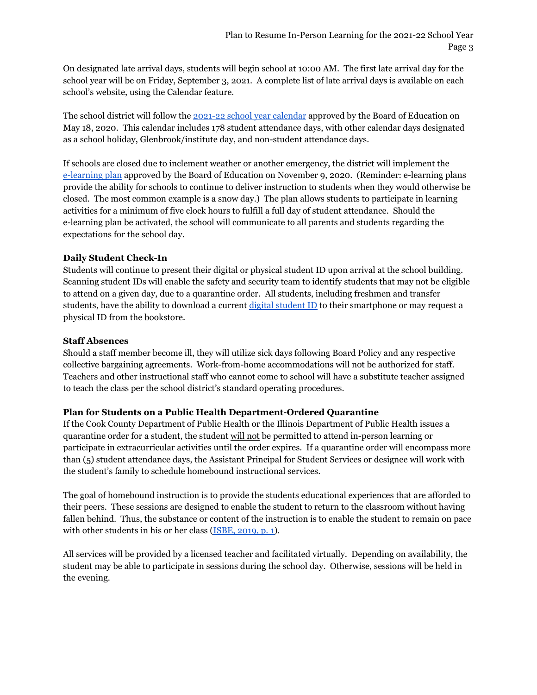On designated late arrival days, students will begin school at 10:00 AM. The first late arrival day for the school year will be on Friday, September 3, 2021. A complete list of late arrival days is available on each school's website, using the Calendar feature.

The school district will follow the 2021-22 school year [calendar](https://www.glenbrook225.org/getattachment/Calendar/2021-2022-School-Calendar.pdf?lang=en-US) approved by the Board of Education on May 18, 2020. This calendar includes 178 student attendance days, with other calendar days designated as a school holiday, Glenbrook/institute day, and non-student attendance days.

If schools are closed due to inclement weather or another emergency, the district will implement the [e-learning](https://glenbrook.schoolboard.net/sites/il.glenbrook.schoolboard.net/files/07.00%20D225%20E-learning%20Plan.pdf#search=%22e-learning%20plan%22) plan approved by the Board of Education on November 9, 2020. (Reminder: e-learning plans provide the ability for schools to continue to deliver instruction to students when they would otherwise be closed. The most common example is a snow day.) The plan allows students to participate in learning activities for a minimum of five clock hours to fulfill a full day of student attendance. Should the e-learning plan be activated, the school will communicate to all parents and students regarding the expectations for the school day.

## **Daily Student Check-In**

Students will continue to present their digital or physical student ID upon arrival at the school building. Scanning student IDs will enable the safety and security team to identify students that may not be eligible to attend on a given day, due to a quarantine order. All students, including freshmen and transfer [student](https://docs.google.com/presentation/d/1ZhQdlFpdMCjOx1YwAhh8RlZrm5uV7wbP-ODKBjW0iBQ/edit?usp=sharing)s, have the ability to download a current digital student ID to their smartphone or may request a physical ID from the bookstore.

## **Staff Absences**

Should a staff member become ill, they will utilize sick days following Board Policy and any respective collective bargaining agreements. Work-from-home accommodations will not be authorized for staff. Teachers and other instructional staff who cannot come to school will have a substitute teacher assigned to teach the class per the school district's standard operating procedures.

## **Plan for Students on a Public Health Department-Ordered Quarantine**

If the Cook County Department of Public Health or the Illinois Department of Public Health issues a quarantine order for a student, the student will not be permitted to attend in-person learning or participate in extracurricular activities until the order expires. If a quarantine order will encompass more than (5) student attendance days, the Assistant Principal for Student Services or designee will work with the student's family to schedule homebound instructional services.

The goal of homebound instruction is to provide the students educational experiences that are afforded to their peers. These sessions are designed to enable the student to return to the classroom without having fallen behind. Thus, the substance or content of the instruction is to enable the student to remain on pace with other students in his or her class [\(ISBE,](https://www.isbe.net/Documents/Home-Hospital_QA.pdf) 2019, p. 1).

All services will be provided by a licensed teacher and facilitated virtually. Depending on availability, the student may be able to participate in sessions during the school day. Otherwise, sessions will be held in the evening.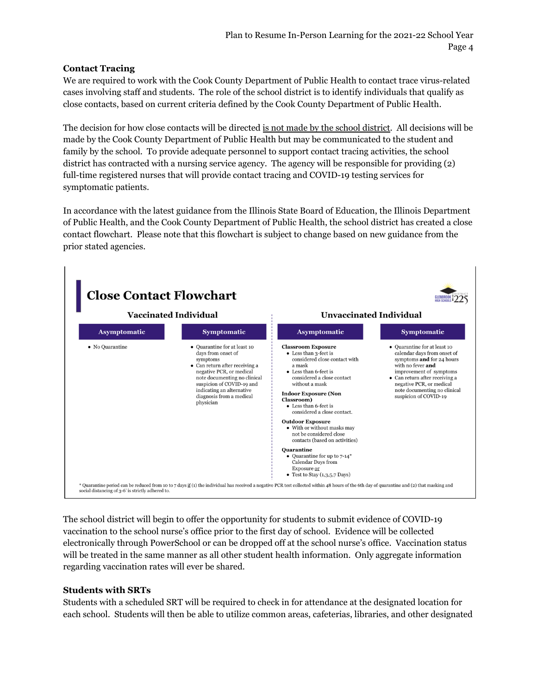## **Contact Tracing**

We are required to work with the Cook County Department of Public Health to contact trace virus-related cases involving staff and students. The role of the school district is to identify individuals that qualify as close contacts, based on current criteria defined by the Cook County Department of Public Health.

The decision for how close contacts will be directed is not made by the school district. All decisions will be made by the Cook County Department of Public Health but may be communicated to the student and family by the school. To provide adequate personnel to support contact tracing activities, the school district has contracted with a nursing service agency. The agency will be responsible for providing (2) full-time registered nurses that will provide contact tracing and COVID-19 testing services for symptomatic patients.

In accordance with the latest guidance from the Illinois State Board of Education, the Illinois Department of Public Health, and the Cook County Department of Public Health, the school district has created a close contact flowchart. Please note that this flowchart is subject to change based on new guidance from the prior stated agencies.



The school district will begin to offer the opportunity for students to submit evidence of COVID-19 vaccination to the school nurse's office prior to the first day of school. Evidence will be collected electronically through PowerSchool or can be dropped off at the school nurse's office. Vaccination status will be treated in the same manner as all other student health information. Only aggregate information regarding vaccination rates will ever be shared.

## **Students with SRTs**

Students with a scheduled SRT will be required to check in for attendance at the designated location for each school. Students will then be able to utilize common areas, cafeterias, libraries, and other designated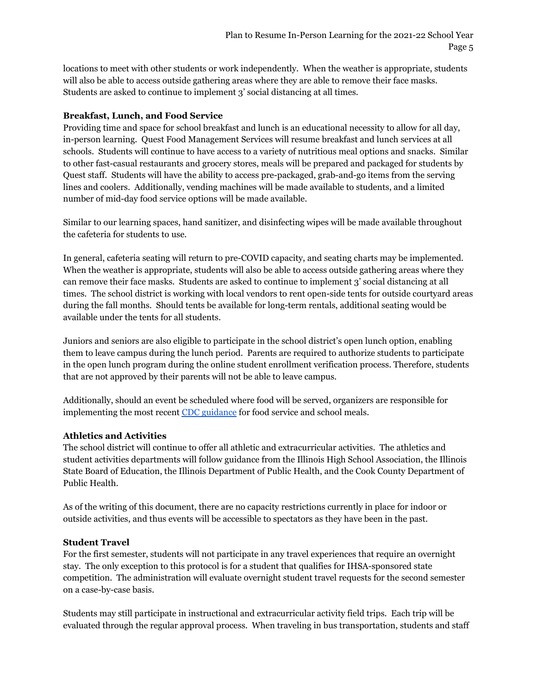locations to meet with other students or work independently. When the weather is appropriate, students will also be able to access outside gathering areas where they are able to remove their face masks. Students are asked to continue to implement 3' social distancing at all times.

### **Breakfast, Lunch, and Food Service**

Providing time and space for school breakfast and lunch is an educational necessity to allow for all day, in-person learning. Quest Food Management Services will resume breakfast and lunch services at all schools. Students will continue to have access to a variety of nutritious meal options and snacks. Similar to other fast-casual restaurants and grocery stores, meals will be prepared and packaged for students by Quest staff. Students will have the ability to access pre-packaged, grab-and-go items from the serving lines and coolers. Additionally, vending machines will be made available to students, and a limited number of mid-day food service options will be made available.

Similar to our learning spaces, hand sanitizer, and disinfecting wipes will be made available throughout the cafeteria for students to use.

In general, cafeteria seating will return to pre-COVID capacity, and seating charts may be implemented. When the weather is appropriate, students will also be able to access outside gathering areas where they can remove their face masks. Students are asked to continue to implement 3' social distancing at all times. The school district is working with local vendors to rent open-side tents for outside courtyard areas during the fall months. Should tents be available for long-term rentals, additional seating would be available under the tents for all students.

Juniors and seniors are also eligible to participate in the school district's open lunch option, enabling them to leave campus during the lunch period. Parents are required to authorize students to participate in the open lunch program during the online student enrollment verification process. Therefore, students that are not approved by their parents will not be able to leave campus.

Additionally, should an event be scheduled where food will be served, organizers are responsible for implementing the most recent CDC [guidance](https://www.cdc.gov/coronavirus/2019-ncov/community/schools-childcare/k-12-guidance.html#anchor_1625661937509) for food service and school meals.

### **Athletics and Activities**

The school district will continue to offer all athletic and extracurricular activities. The athletics and student activities departments will follow guidance from the Illinois High School Association, the Illinois State Board of Education, the Illinois Department of Public Health, and the Cook County Department of Public Health.

As of the writing of this document, there are no capacity restrictions currently in place for indoor or outside activities, and thus events will be accessible to spectators as they have been in the past.

### **Student Travel**

For the first semester, students will not participate in any travel experiences that require an overnight stay. The only exception to this protocol is for a student that qualifies for IHSA-sponsored state competition. The administration will evaluate overnight student travel requests for the second semester on a case-by-case basis.

Students may still participate in instructional and extracurricular activity field trips. Each trip will be evaluated through the regular approval process. When traveling in bus transportation, students and staff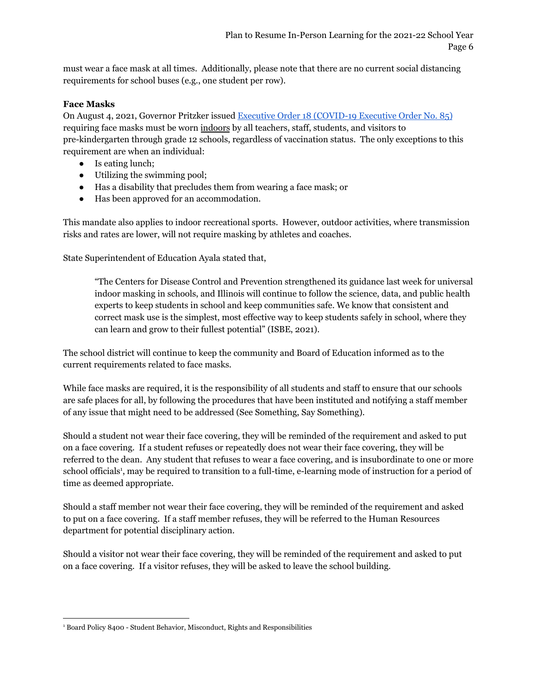must wear a face mask at all times. Additionally, please note that there are no current social distancing requirements for school buses (e.g., one student per row).

### **Face Masks**

On August 4, 2021, Governor Pritzker issued Executive Order 18 [\(COVID-19](https://coronavirus.illinois.gov/resources/executive-orders/display.executive-order-number-18.html) Executive Order No. 85) requiring face masks must be worn indoors by all teachers, staff, students, and visitors to pre-kindergarten through grade 12 schools, regardless of vaccination status. The only exceptions to this requirement are when an individual:

- Is eating lunch;
- Utilizing the swimming pool;
- Has a disability that precludes them from wearing a face mask; or
- Has been approved for an accommodation.

This mandate also applies to indoor recreational sports. However, outdoor activities, where transmission risks and rates are lower, will not require masking by athletes and coaches.

State Superintendent of Education Ayala stated that,

"The Centers for Disease Control and Prevention strengthened its guidance last week for universal indoor masking in schools, and Illinois will continue to follow the science, data, and public health experts to keep students in school and keep communities safe. We know that consistent and correct mask use is the simplest, most effective way to keep students safely in school, where they can learn and grow to their fullest potential" (ISBE, 2021).

The school district will continue to keep the community and Board of Education informed as to the current requirements related to face masks.

While face masks are required, it is the responsibility of all students and staff to ensure that our schools are safe places for all, by following the procedures that have been instituted and notifying a staff member of any issue that might need to be addressed (See Something, Say Something).

Should a student not wear their face covering, they will be reminded of the requirement and asked to put on a face covering. If a student refuses or repeatedly does not wear their face covering, they will be referred to the dean. Any student that refuses to wear a face covering, and is insubordinate to one or more school officials<sup>1</sup>, may be required to transition to a full-time, e-learning mode of instruction for a period of time as deemed appropriate.

Should a staff member not wear their face covering, they will be reminded of the requirement and asked to put on a face covering. If a staff member refuses, they will be referred to the Human Resources department for potential disciplinary action.

Should a visitor not wear their face covering, they will be reminded of the requirement and asked to put on a face covering. If a visitor refuses, they will be asked to leave the school building.

<sup>&</sup>lt;sup>1</sup> Board Policy 8400 - Student Behavior, Misconduct, Rights and Responsibilities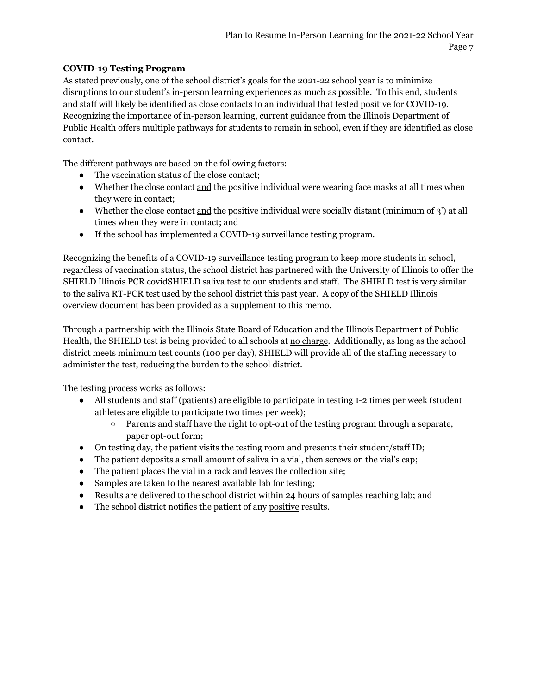## **COVID-19 Testing Program**

As stated previously, one of the school district's goals for the 2021-22 school year is to minimize disruptions to our student's in-person learning experiences as much as possible. To this end, students and staff will likely be identified as close contacts to an individual that tested positive for COVID-19. Recognizing the importance of in-person learning, current guidance from the Illinois Department of Public Health offers multiple pathways for students to remain in school, even if they are identified as close contact.

The different pathways are based on the following factors:

- The vaccination status of the close contact;
- Whether the close contact and the positive individual were wearing face masks at all times when they were in contact;
- Whether the close contact and the positive individual were socially distant (minimum of  $3'$ ) at all times when they were in contact; and
- If the school has implemented a COVID-19 surveillance testing program.

Recognizing the benefits of a COVID-19 surveillance testing program to keep more students in school, regardless of vaccination status, the school district has partnered with the University of Illinois to offer the SHIELD Illinois PCR covidSHIELD saliva test to our students and staff. The SHIELD test is very similar to the saliva RT-PCR test used by the school district this past year. A copy of the SHIELD Illinois overview document has been provided as a supplement to this memo.

Through a partnership with the Illinois State Board of Education and the Illinois Department of Public Health, the SHIELD test is being provided to all schools at no charge. Additionally, as long as the school district meets minimum test counts (100 per day), SHIELD will provide all of the staffing necessary to administer the test, reducing the burden to the school district.

The testing process works as follows:

- All students and staff (patients) are eligible to participate in testing 1-2 times per week (student athletes are eligible to participate two times per week);
	- Parents and staff have the right to opt-out of the testing program through a separate, paper opt-out form;
- On testing day, the patient visits the testing room and presents their student/staff ID;
- The patient deposits a small amount of saliva in a vial, then screws on the vial's cap;
- The patient places the vial in a rack and leaves the collection site;
- Samples are taken to the nearest available lab for testing;
- Results are delivered to the school district within 24 hours of samples reaching lab; and
- The school district notifies the patient of any positive results.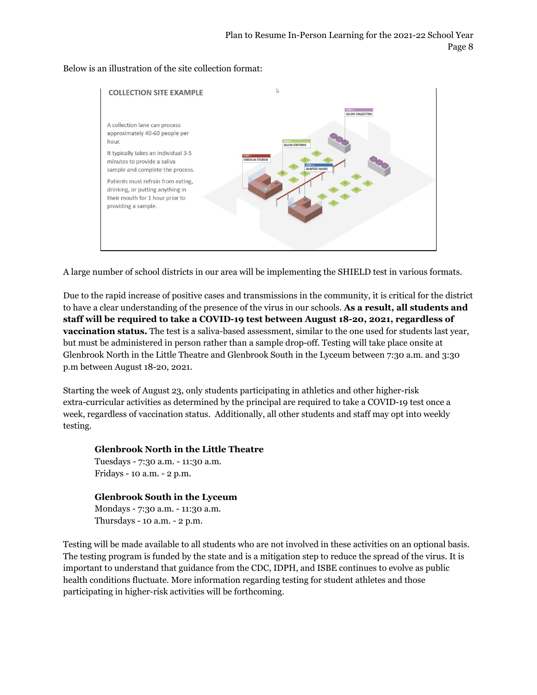#### Below is an illustration of the site collection format:



A large number of school districts in our area will be implementing the SHIELD test in various formats.

Due to the rapid increase of positive cases and transmissions in the community, it is critical for the district to have a clear understanding of the presence of the virus in our schools. **As a result, all students and staff will be required to take a COVID-19 test between August 18-20, 2021, regardless of vaccination status.** The test is a saliva-based assessment, similar to the one used for students last year, but must be administered in person rather than a sample drop-off. Testing will take place onsite at Glenbrook North in the Little Theatre and Glenbrook South in the Lyceum between 7:30 a.m. and 3:30 p.m between August 18-20, 2021.

Starting the week of August 23, only students participating in athletics and other higher-risk extra-curricular activities as determined by the principal are required to take a COVID-19 test once a week, regardless of vaccination status. Additionally, all other students and staff may opt into weekly testing.

#### **Glenbrook North in the Little Theatre**

Tuesdays - 7:30 a.m. - 11:30 a.m. Fridays - 10 a.m. - 2 p.m.

### **Glenbrook South in the Lyceum**

Mondays - 7:30 a.m. - 11:30 a.m. Thursdays - 10 a.m. - 2 p.m.

Testing will be made available to all students who are not involved in these activities on an optional basis. The testing program is funded by the state and is a mitigation step to reduce the spread of the virus. It is important to understand that guidance from the CDC, IDPH, and ISBE continues to evolve as public health conditions fluctuate. More information regarding testing for student athletes and those participating in higher-risk activities will be forthcoming.